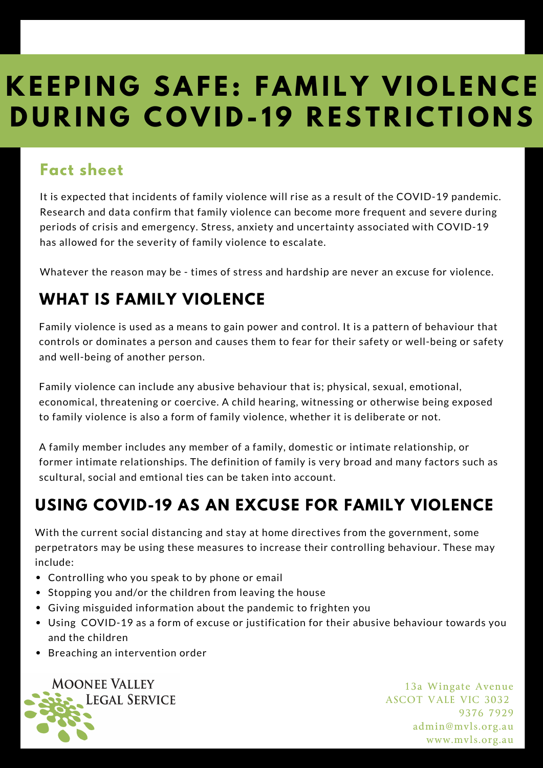## **K E EPI N G S A F E : F A M I L Y V I O L E N C E DURING COVID-19 RESTRICTIONS**

## **Fact sheet**

It is expected that incidents of family violence will rise as a result of the COVID-19 pandemic. Research and data confirm that family violence can become more frequent and severe during periods of crisis and emergency. Stress, anxiety and uncertainty associated with COVID-19 has allowed for the severity of family violence to escalate.

Whatever the reason may be - times of stress and hardship are never an excuse for violence.

## **WHAT IS FAMILY VIOLENCE**

Family violence is used as a means to gain power and control. It is a pattern of behaviour that controls or dominates a person and causes them to fear for their safety or well-being or safety and well-being of another person.

Family violence can include any abusive behaviour that is; physical, sexual, emotional, economical, threatening or coercive. A child hearing, witnessing or otherwise being exposed to family violence is also a form of family violence, whether it is deliberate or not.

A family member includes any member of a family, domestic or intimate relationship, or former intimate relationships. The definition of family is very broad and many factors such as scultural, social and emtional ties can be taken into account.

## **USING COVID-19 AS AN EXCUSE FOR FAMILY VIOLENCE**

With the current social distancing and stay at home directives from the government, some perpetrators may be using these measures to increase their controlling behaviour. These may include:

- Controlling who you speak to by phone or email
- Stopping you and/or the children from leaving the house
- Giving misguided information about the pandemic to frighten you
- Using COVID-19 as a form of excuse or justification for their abusive behaviour towards you and the children
- Breaching an intervention order



13a Wingate Avenue ASCOT VALE VIC 3032 9376 7929 admin@mvls.org.au www.mvls.org.au